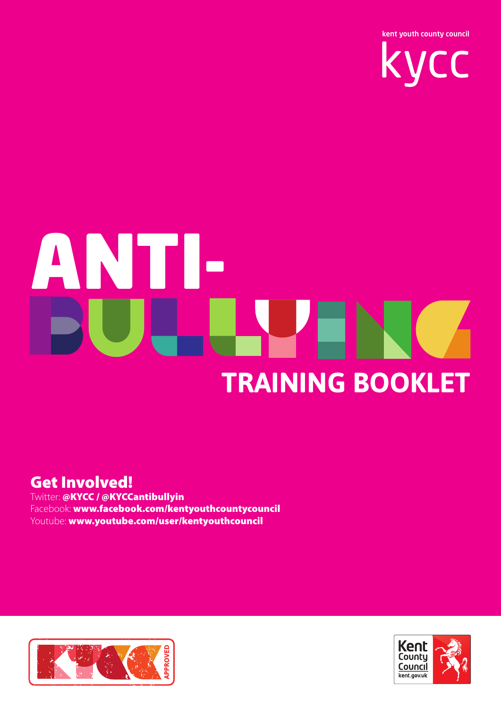

# ANTI-**TRAINING BOOKLET**

#### Get Involved!

Twitter: @KYCC / @KYCCantibullyin Facebook: www.facebook.com/kentyouthcountycouncil Youtube: www.youtube.com/user/kentyouthcouncil



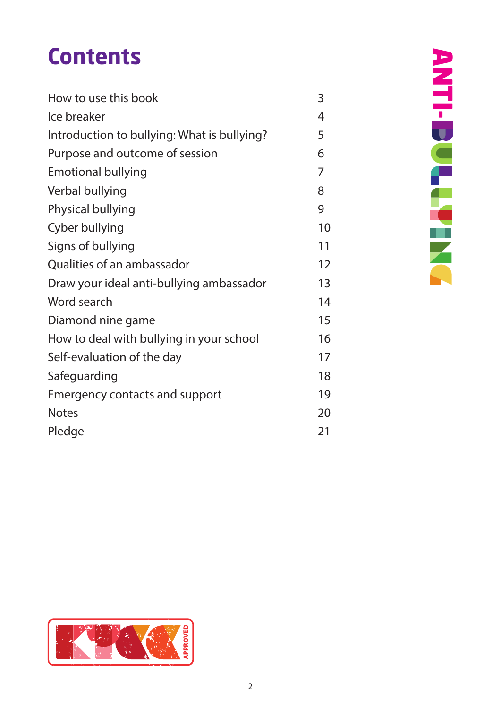#### **Contents**

| How to use this book                        | 3  |
|---------------------------------------------|----|
| Ice breaker                                 | 4  |
| Introduction to bullying: What is bullying? | 5  |
| Purpose and outcome of session              | 6  |
| <b>Emotional bullying</b>                   | 7  |
| Verbal bullying                             | 8  |
| Physical bullying                           | 9  |
| Cyber bullying                              | 10 |
| Signs of bullying                           | 11 |
| Qualities of an ambassador                  | 12 |
| Draw your ideal anti-bullying ambassador    | 13 |
| Word search                                 | 14 |
| Diamond nine game                           | 15 |
| How to deal with bullying in your school    | 16 |
| Self-evaluation of the day                  | 17 |
| Safeguarding                                | 18 |
| <b>Emergency contacts and support</b>       | 19 |
| <b>Notes</b>                                | 20 |
| Pledge                                      | 21 |

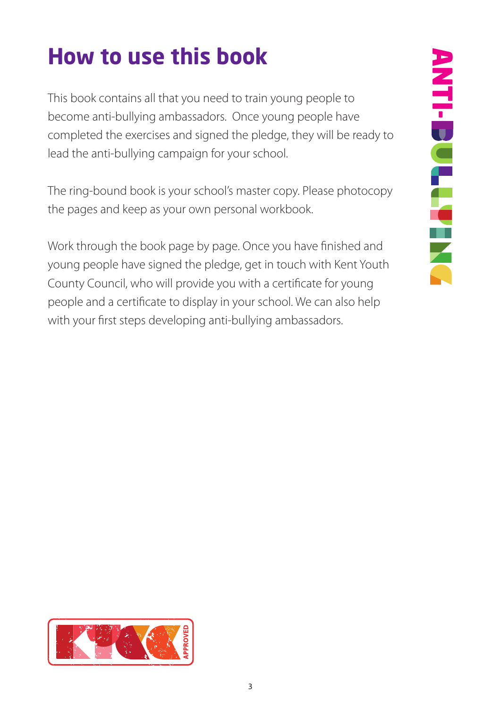#### **How to use this book**

This book contains all that you need to train young people to become anti-bullying ambassadors. Once young people have completed the exercises and signed the pledge, they will be ready to lead the anti-bullying campaign for your school.

The ring-bound book is your school's master copy. Please photocopy the pages and keep as your own personal workbook.

Work through the book page by page. Once you have finished and young people have signed the pledge, get in touch with Kent Youth County Council, who will provide you with a certificate for young people and a certificate to display in your school. We can also help with your first steps developing anti-bullying ambassadors.

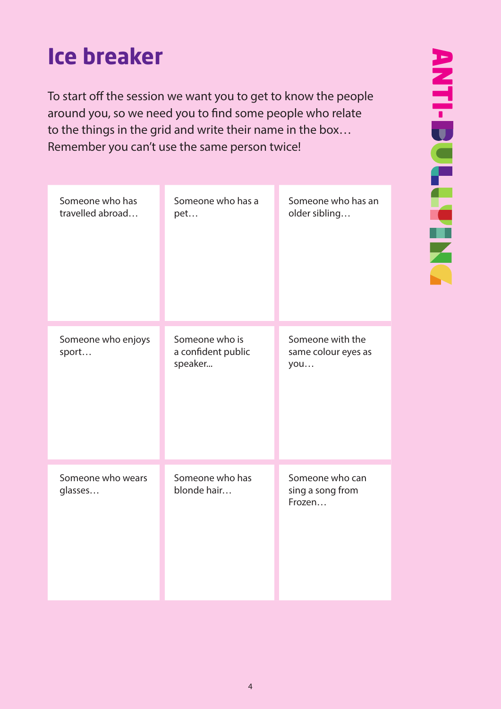#### **Ice breaker**

To start off the session we want you to get to know the people around you, so we need you to find some people who relate to the things in the grid and write their name in the box… Remember you can't use the same person twice!

| Someone who has<br>travelled abroad | Someone who has a<br>pet                        | Someone who has an<br>older sibling            |
|-------------------------------------|-------------------------------------------------|------------------------------------------------|
| Someone who enjoys<br>sport         | Someone who is<br>a confident public<br>speaker | Someone with the<br>same colour eyes as<br>you |
| Someone who wears<br>glasses        | Someone who has<br>blonde hair                  | Someone who can<br>sing a song from<br>Frozen  |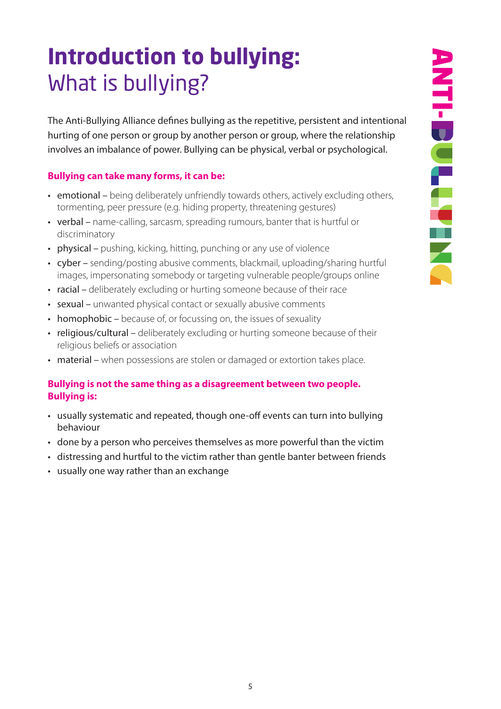#### **Introduction to bullying:**  What is bullying?

The Anti-Bullying Alliance defines bullying as the repetitive, persistent and intentional hurting of one person or group by another person or group, where the relationship involves an imbalance of power. Bullying can be physical, verbal or psychological.

#### **Bullying can take many forms, it can be:**

- emotional being deliberately unfriendly towards others, actively excluding others, tormenting, peer pressure (e.g. hiding property, threatening gestures)
- verbal name-calling, sarcasm, spreading rumours, banter that is hurtful or discriminatory
- physical pushing, kicking, hitting, punching or any use of violence
- cyber sending/posting abusive comments, blackmail, uploading/sharing hurtful images, impersonating somebody or targeting vulnerable people/groups online
- racial deliberately excluding or hurting someone because of their race
- sexual unwanted physical contact or sexually abusive comments
- homophobic because of, or focussing on, the issues of sexuality
- religious/cultural deliberately excluding or hurting someone because of their religious beliefs or association
- material when possessions are stolen or damaged or extortion takes place.

#### **Bullying is not the same thing as a disagreement between two people. Bullying is:**

- usually systematic and repeated, though one-off events can turn into bullying behaviour
- done by a person who perceives themselves as more powerful than the victim
- distressing and hurtful to the victim rather than gentle banter between friends
- usually one way rather than an exchange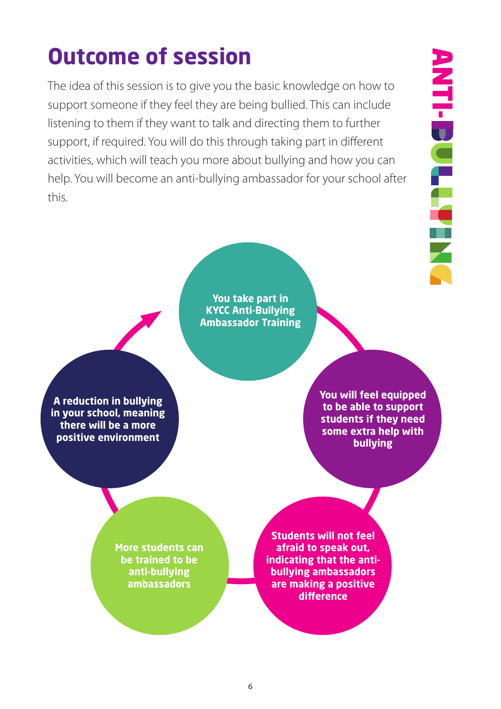#### **Outcome of session**

The idea of this session is to give you the basic knowledge on how to support someone if they feel they are being bullied. This can include listening to them if they want to talk and directing them to further support, if required. You will do this through taking part in different activities, which will teach you more about bullying and how you can help. You will become an anti-bullying ambassador for your school after this.

**You take part in KYCC Anti-Bullying Ambassador Training**

**A reduction in bullying in your school, meaning there will be a more positive environment**

**You will feel equipped to be able to support students if they need some extra help with bullying**

**More students can be trained to be anti-bullying ambassadors**

**Students will not feel afraid to speak out, indicating that the antibullying ambassadors are making a positive**  difference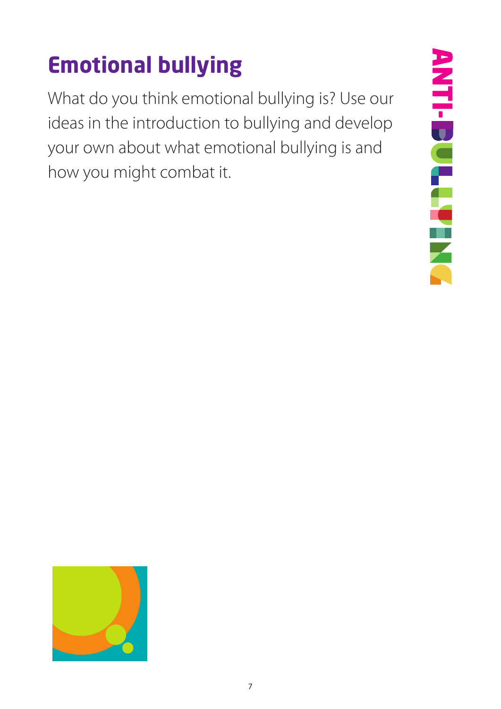## **Emotional bullying**

What do you think emotional bullying is? Use our ideas in the introduction to bullying and develop your own about what emotional bullying is and how you might combat it.



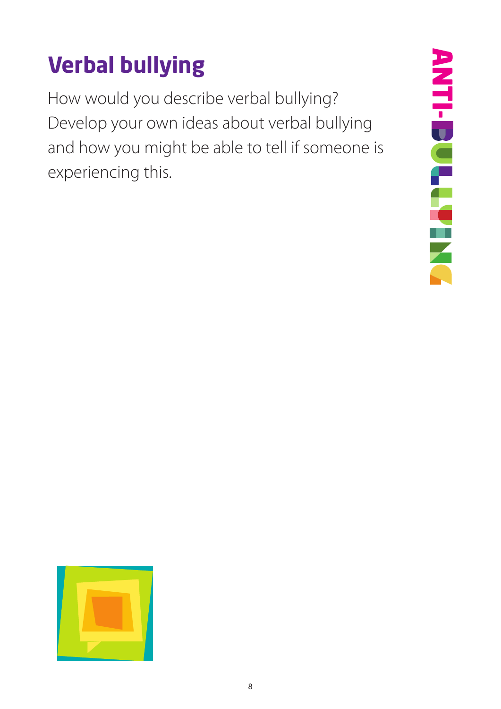#### **Verbal bullying**

How would you describe verbal bullying? Develop your own ideas about verbal bullying and how you might be able to tell if someone is experiencing this.



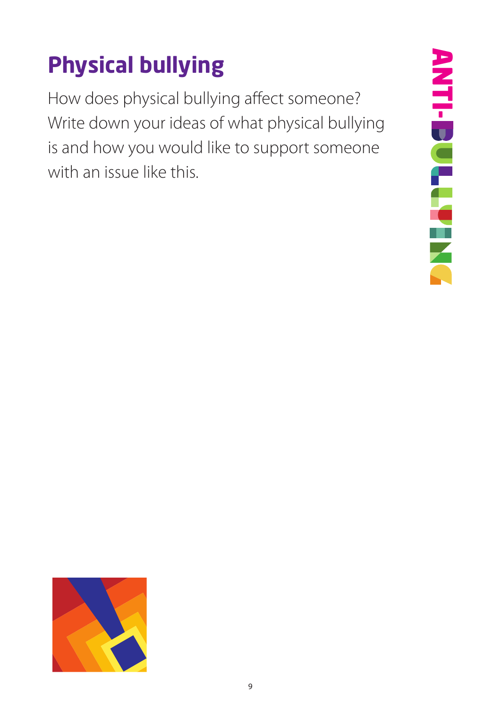# **Physical bullying**

How does physical bullying affect someone? Write down your ideas of what physical bullying is and how you would like to support someone with an issue like this.



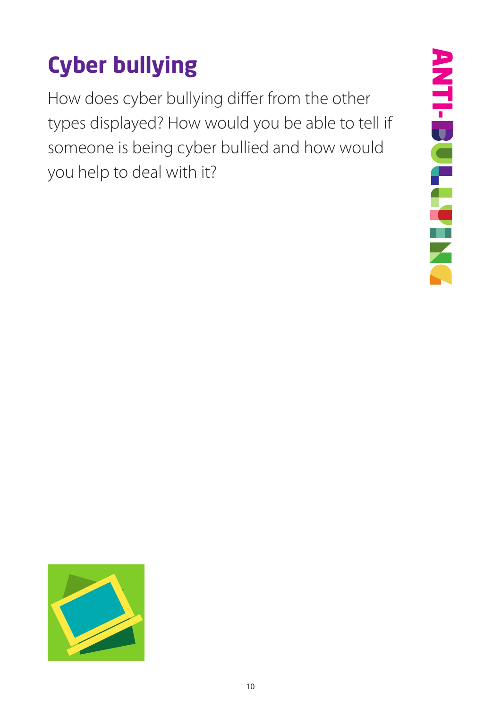# **Cyber bullying**

How does cyber bullying differ from the other types displayed? How would you be able to tell if someone is being cyber bullied and how would you help to deal with it?



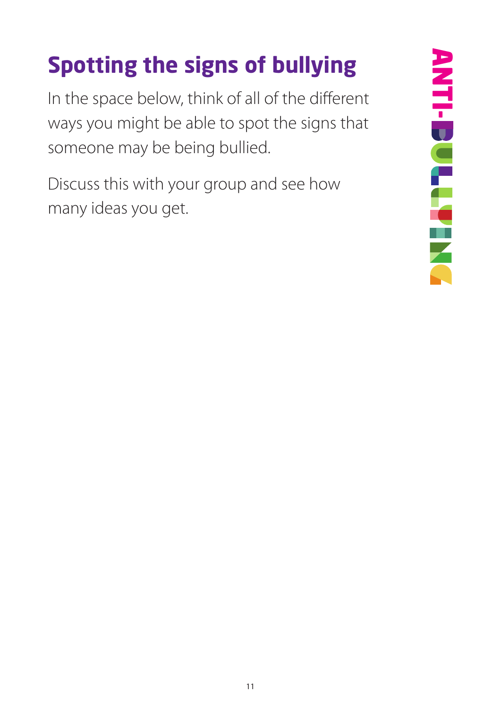# **Spotting the signs of bullying**

In the space below, think of all of the different ways you might be able to spot the signs that someone may be being bullied.

Discuss this with your group and see how many ideas you get.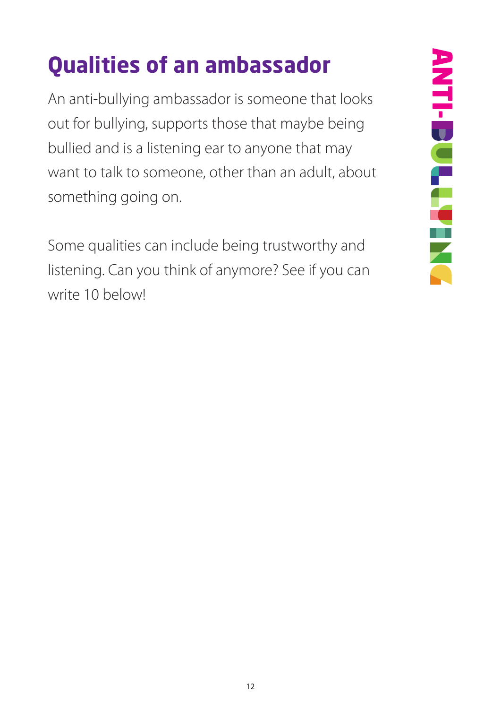## **Qualities of an ambassador**

An anti-bullying ambassador is someone that looks out for bullying, supports those that maybe being bullied and is a listening ear to anyone that may want to talk to someone, other than an adult, about something going on.

Some qualities can include being trustworthy and listening. Can you think of anymore? See if you can write 10 below!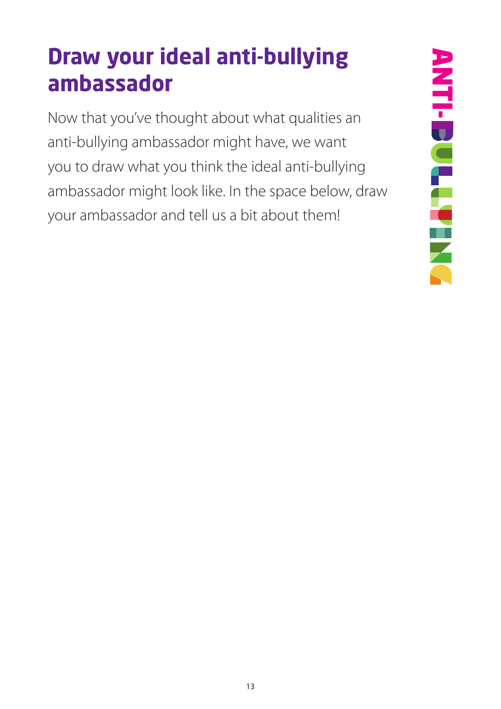#### **Draw your ideal anti-bullying ambassador**

Now that you've thought about what qualities an anti-bullying ambassador might have, we want you to draw what you think the ideal anti-bullying ambassador might look like. In the space below, draw your ambassador and tell us a bit about them!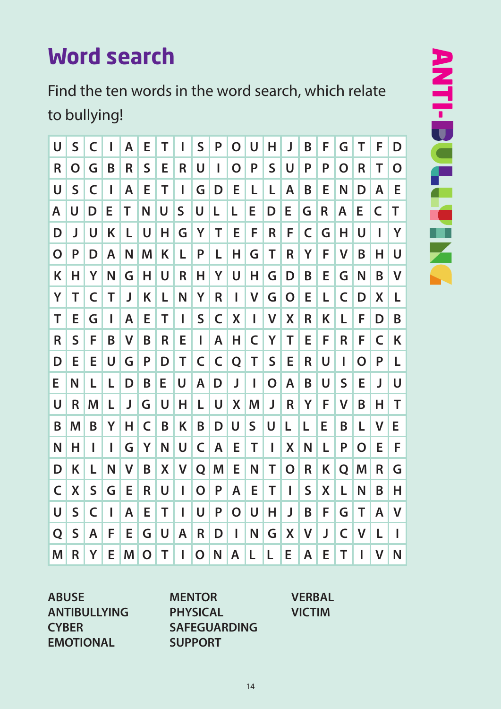#### **Word search**

Find the ten words in the word search, which relate to bullying!

| U           | $\overline{\mathsf{S}}$ | C           | I | A | E           | Т | I           | $\mathsf S$ | P           | O           | U | Н           | J           | Β            | F           | G            | Т            | F           | D            |
|-------------|-------------------------|-------------|---|---|-------------|---|-------------|-------------|-------------|-------------|---|-------------|-------------|--------------|-------------|--------------|--------------|-------------|--------------|
| R           | O                       | G           | B | R | S           | E | R           | U           | I           | $\mathbf O$ | P | $\mathsf S$ | U           | P            | P           | O            | R            | Τ           | O            |
| U           | $\mathsf S$             | C           | ı | A | E           | т | ı           | G           | D           | E           | L | L           | A           | Β            | E           | N            | D            | A           | E            |
| A           | U                       | D           | Е | Т | N           | U | $\mathsf S$ | U           | L           | L           | Е | D           | Е           | G            | $\mathsf R$ | A            | E            | $\mathsf C$ | Τ            |
| D           | J                       | U           | Κ | L | U           | н | G           | Y           | Т           | Е           | F | R           | F           | C            | G           | н            | U            | ı           | Y            |
| $\mathbf O$ | P                       | D           | A | N | M           | Κ | L           | P           | L           | Н           | G | Τ           | R           | Υ            | F           | $\mathsf{V}$ | B            | Н           | U            |
| K           | н                       | Υ           | N | G | н           | U | R           | Н           | Y           | U           | н | G           | D           | Β            | E           | G            | N            | B           | V            |
| Y           | т                       | C           | т | J | Κ           | L | N           | Υ           | $\mathsf R$ | I           | V | G           | $\mathbf O$ | Е            | L           | C            | D            | X           | L            |
| Τ           | E                       | G           | ı | A | E           | Т | I           | S           | C           | X           | I | V           | X           | R            | Κ           | L            | F            | D           | B            |
| R           | $\mathsf S$             | F           | B | V | B           | R | E           | L           | A           | Η           | C | Y           | Т           | E            | F           | R            | F            | C           | Κ            |
| D           | Е                       | E           | U | G | P           | D | т           | C           | $\mathsf C$ | Q           | Т | S           | E           | R            | U           | ı            | O            | P           | L            |
| E           | N                       | L           | L | D | B           | E | U           | A           | D           | J           | I | $\mathbf O$ | A           | B            | U           | $\mathsf S$  | E            | J           | U            |
| U           | R                       | M           | L | J | G           | U | Н           | L           | U           | X           | M | J           | $\mathsf R$ | Υ            | F           | $\mathsf{V}$ | B            | н           | Т            |
| B           | M                       | B           | Y | н | C           | B | Κ           | B           | D           | U           | S | U           | L           | L            | E           | B            | L            | V           | E            |
| N           | Н                       | ı           | ı | G | Υ           | N | U           | C           | A           | Е           | Т | ı           | X           | N            | L           | P            | O            | E           | F            |
| D           | Κ                       | L           | N | V | B           | X | V           | Q           | M           | E           | N | Т           | O           | R            | Κ           | Q            | M            | R           | G            |
| C           | X                       | $\mathsf S$ | G | Е | R           | U | I           | O           | P           | A           | Е | Т           | ı           | S            | X           | L            | N            | B           | Н            |
| U           | $\mathsf S$             | C           | ı | A | Е           | Т | I           | U           | P           | O           | U | н           | J           | B            | F           | G            | Τ            | A           | V            |
| Q           | S                       | A           | F | E | G           | U | Α           | R           | D           | I           | N | G           | X           | $\mathsf{V}$ | J           | C            | $\mathsf{V}$ | L           | I            |
| M           | R                       | Υ           | E | M | $\mathbf O$ | т | I           | O           | N           | A           | L | L           | E           | A            | E           | T            | I            | V           | $\mathsf{N}$ |

**ABUSE ANTIBULLYING CYBER EMOTIONAL**

**MENTOR PHYSICAL SAFEGUARDING SUPPORT**

**VERBAL VICTIM**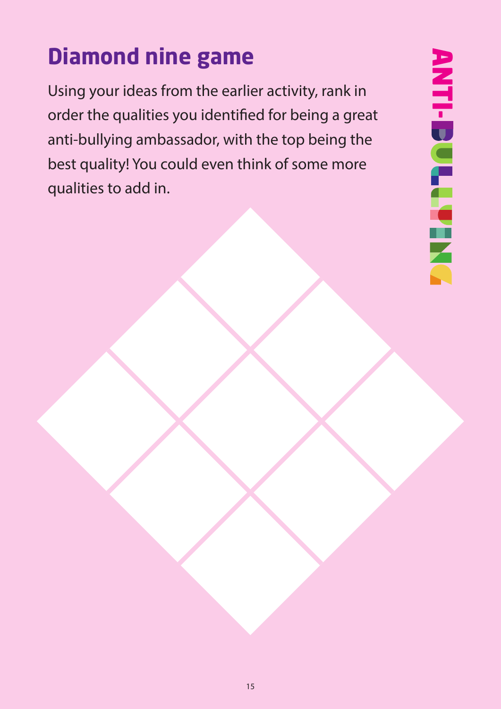### **Diamond nine game**

Using your ideas from the earlier activity, rank in order the qualities you identified for being a great anti-bullying ambassador, with the top being the best quality! You could even think of some more qualities to add in.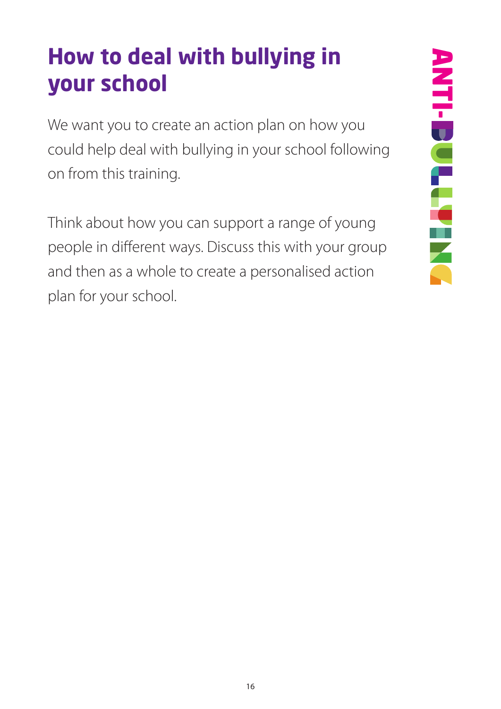#### **How to deal with bullying in your school**

We want you to create an action plan on how you could help deal with bullying in your school following on from this training.

Think about how you can support a range of young people in different ways. Discuss this with your group and then as a whole to create a personalised action plan for your school.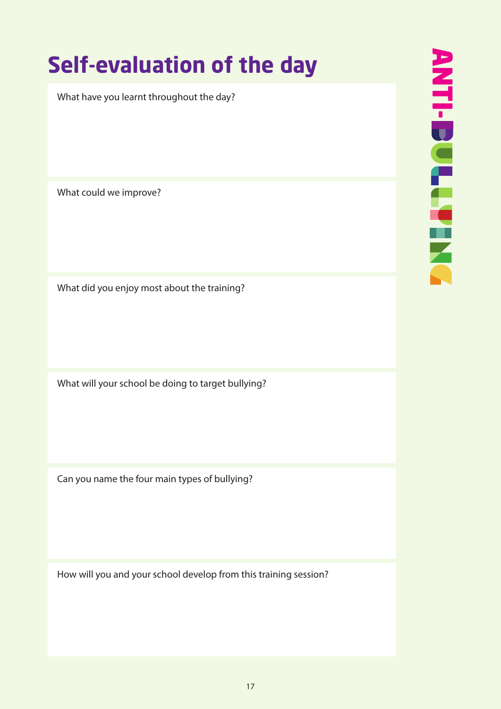#### **Self-evaluation of the day**

What have you learnt throughout the day?

What could we improve?

What did you enjoy most about the training?

What will your school be doing to target bullying?

Can you name the four main types of bullying?

How will you and your school develop from this training session?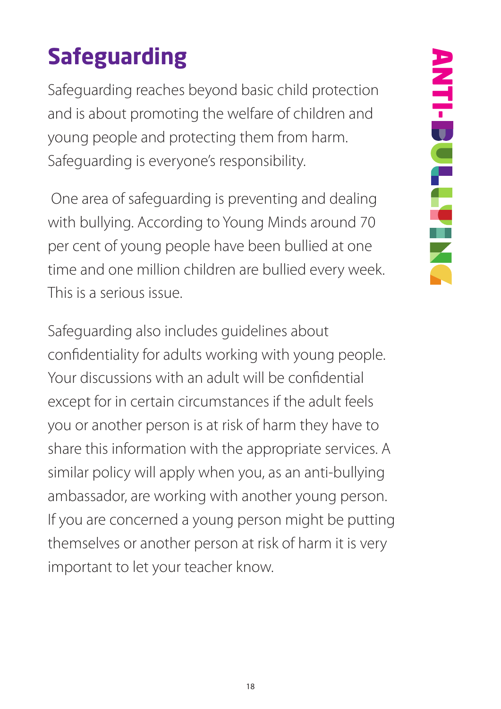# **Safeguarding**

Safeguarding reaches beyond basic child protection and is about promoting the welfare of children and young people and protecting them from harm. Safeguarding is everyone's responsibility.

 One area of safeguarding is preventing and dealing with bullying. According to Young Minds around 70 per cent of young people have been bullied at one time and one million children are bullied every week. This is a serious issue.

Safeguarding also includes guidelines about confidentiality for adults working with young people. Your discussions with an adult will be confidential except for in certain circumstances if the adult feels you or another person is at risk of harm they have to share this information with the appropriate services. A similar policy will apply when you, as an anti-bullying ambassador, are working with another young person. If you are concerned a young person might be putting themselves or another person at risk of harm it is very important to let your teacher know.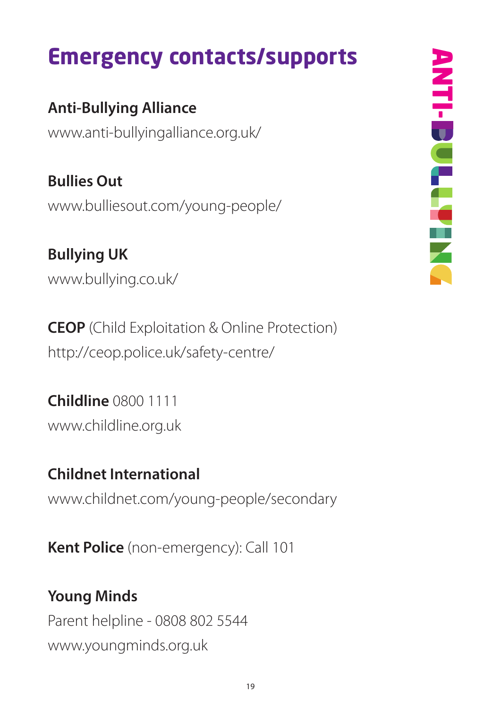#### **Emergency contacts/supports**

#### **Anti-Bullying Alliance**

www.anti-bullyingalliance.org.uk/

**Bullies Out** www.bulliesout.com/young-people/

**Bullying UK** www.bullying.co.uk/

**CEOP** (Child Exploitation & Online Protection) http://ceop.police.uk/safety-centre/

**Childline** 0800 1111 www.childline.org.uk

#### **Childnet International**

www.childnet.com/young-people/secondary

**Kent Police** (non-emergency): Call 101

#### **Young Minds**

Parent helpline - 0808 802 5544 www.youngminds.org.uk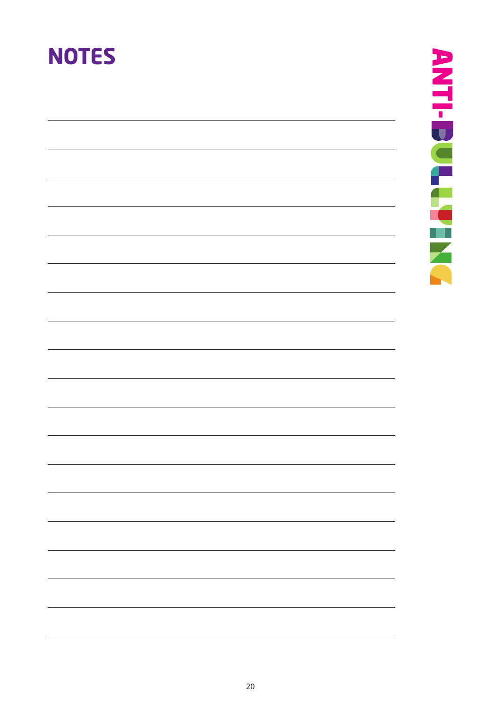#### **NOTES**

ANTI-DULLANIN